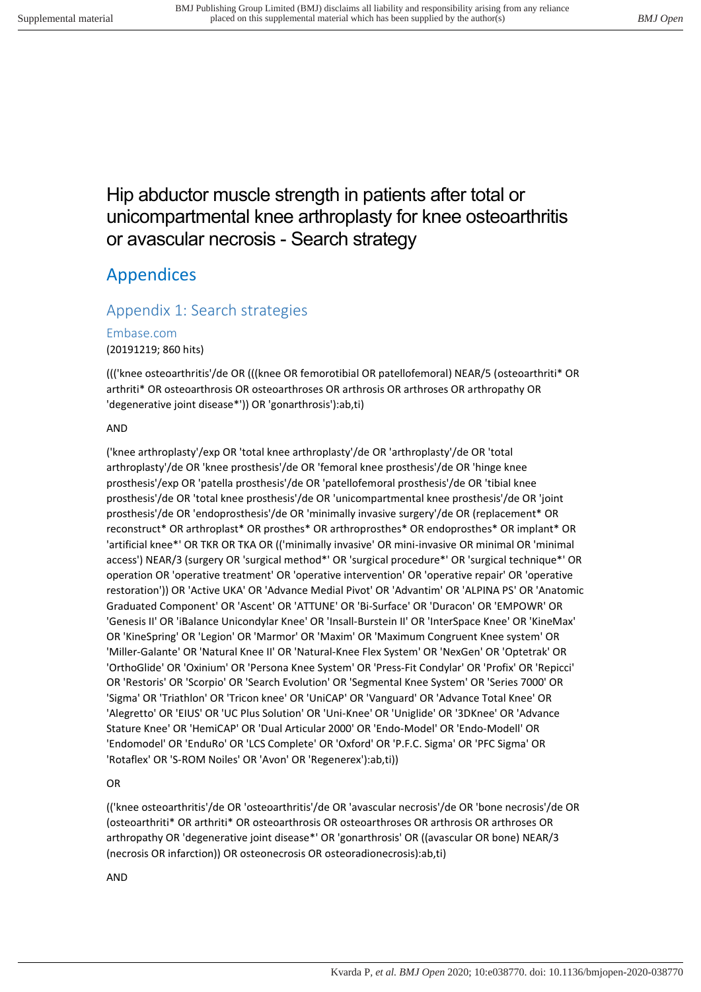# Hip abductor muscle strength in patients after total or unicompartmental knee arthroplasty for knee osteoarthritis or avascular necrosis - Search strategy

# Appendices

# Appendix 1: Search strategies

# Embase.com

(20191219; 860 hits)

((('knee osteoarthritis'/de OR (((knee OR femorotibial OR patellofemoral) NEAR/5 (osteoarthriti\* OR arthriti\* OR osteoarthrosis OR osteoarthroses OR arthrosis OR arthroses OR arthropathy OR 'degenerative joint disease\*')) OR 'gonarthrosis'):ab,ti)

#### AND

('knee arthroplasty'/exp OR 'total knee arthroplasty'/de OR 'arthroplasty'/de OR 'total arthroplasty'/de OR 'knee prosthesis'/de OR 'femoral knee prosthesis'/de OR 'hinge knee prosthesis'/exp OR 'patella prosthesis'/de OR 'patellofemoral prosthesis'/de OR 'tibial knee prosthesis'/de OR 'total knee prosthesis'/de OR 'unicompartmental knee prosthesis'/de OR 'joint prosthesis'/de OR 'endoprosthesis'/de OR 'minimally invasive surgery'/de OR (replacement\* OR reconstruct\* OR arthroplast\* OR prosthes\* OR arthroprosthes\* OR endoprosthes\* OR implant\* OR 'artificial knee\*' OR TKR OR TKA OR (('minimally invasive' OR mini-invasive OR minimal OR 'minimal access') NEAR/3 (surgery OR 'surgical method\*' OR 'surgical procedure\*' OR 'surgical technique\*' OR operation OR 'operative treatment' OR 'operative intervention' OR 'operative repair' OR 'operative restoration')) OR 'Active UKA' OR 'Advance Medial Pivot' OR 'Advantim' OR 'ALPINA PS' OR 'Anatomic Graduated Component' OR 'Ascent' OR 'ATTUNE' OR 'Bi-Surface' OR 'Duracon' OR 'EMPOWR' OR 'Genesis II' OR 'iBalance Unicondylar Knee' OR 'Insall-Burstein II' OR 'InterSpace Knee' OR 'KineMax' OR 'KineSpring' OR 'Legion' OR 'Marmor' OR 'Maxim' OR 'Maximum Congruent Knee system' OR 'Miller-Galante' OR 'Natural Knee II' OR 'Natural-Knee Flex System' OR 'NexGen' OR 'Optetrak' OR 'OrthoGlide' OR 'Oxinium' OR 'Persona Knee System' OR 'Press-Fit Condylar' OR 'Profix' OR 'Repicci' OR 'Restoris' OR 'Scorpio' OR 'Search Evolution' OR 'Segmental Knee System' OR 'Series 7000' OR 'Sigma' OR 'Triathlon' OR 'Tricon knee' OR 'UniCAP' OR 'Vanguard' OR 'Advance Total Knee' OR 'Alegretto' OR 'EIUS' OR 'UC Plus Solution' OR 'Uni-Knee' OR 'Uniglide' OR '3DKnee' OR 'Advance Stature Knee' OR 'HemiCAP' OR 'Dual Articular 2000' OR 'Endo-Model' OR 'Endo-Modell' OR 'Endomodel' OR 'EnduRo' OR 'LCS Complete' OR 'Oxford' OR 'P.F.C. Sigma' OR 'PFC Sigma' OR 'Rotaflex' OR 'S-ROM Noiles' OR 'Avon' OR 'Regenerex'):ab,ti))

### OR

(('knee osteoarthritis'/de OR 'osteoarthritis'/de OR 'avascular necrosis'/de OR 'bone necrosis'/de OR (osteoarthriti\* OR arthriti\* OR osteoarthrosis OR osteoarthroses OR arthrosis OR arthroses OR arthropathy OR 'degenerative joint disease\*' OR 'gonarthrosis' OR ((avascular OR bone) NEAR/3 (necrosis OR infarction)) OR osteonecrosis OR osteoradionecrosis):ab,ti)

AND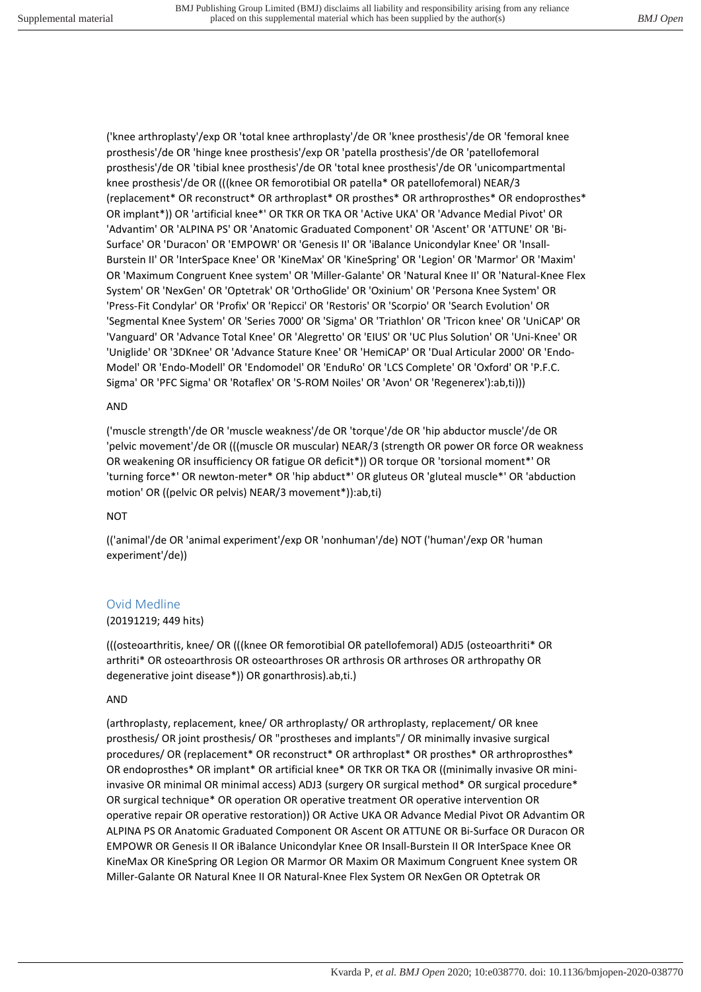('knee arthroplasty'/exp OR 'total knee arthroplasty'/de OR 'knee prosthesis'/de OR 'femoral knee prosthesis'/de OR 'hinge knee prosthesis'/exp OR 'patella prosthesis'/de OR 'patellofemoral prosthesis'/de OR 'tibial knee prosthesis'/de OR 'total knee prosthesis'/de OR 'unicompartmental knee prosthesis'/de OR (((knee OR femorotibial OR patella\* OR patellofemoral) NEAR/3 (replacement\* OR reconstruct\* OR arthroplast\* OR prosthes\* OR arthroprosthes\* OR endoprosthes\* OR implant\*)) OR 'artificial knee\*' OR TKR OR TKA OR 'Active UKA' OR 'Advance Medial Pivot' OR 'Advantim' OR 'ALPINA PS' OR 'Anatomic Graduated Component' OR 'Ascent' OR 'ATTUNE' OR 'Bi-Surface' OR 'Duracon' OR 'EMPOWR' OR 'Genesis II' OR 'iBalance Unicondylar Knee' OR 'Insall-Burstein II' OR 'InterSpace Knee' OR 'KineMax' OR 'KineSpring' OR 'Legion' OR 'Marmor' OR 'Maxim' OR 'Maximum Congruent Knee system' OR 'Miller-Galante' OR 'Natural Knee II' OR 'Natural-Knee Flex System' OR 'NexGen' OR 'Optetrak' OR 'OrthoGlide' OR 'Oxinium' OR 'Persona Knee System' OR 'Press-Fit Condylar' OR 'Profix' OR 'Repicci' OR 'Restoris' OR 'Scorpio' OR 'Search Evolution' OR 'Segmental Knee System' OR 'Series 7000' OR 'Sigma' OR 'Triathlon' OR 'Tricon knee' OR 'UniCAP' OR 'Vanguard' OR 'Advance Total Knee' OR 'Alegretto' OR 'EIUS' OR 'UC Plus Solution' OR 'Uni-Knee' OR 'Uniglide' OR '3DKnee' OR 'Advance Stature Knee' OR 'HemiCAP' OR 'Dual Articular 2000' OR 'Endo-Model' OR 'Endo-Modell' OR 'Endomodel' OR 'EnduRo' OR 'LCS Complete' OR 'Oxford' OR 'P.F.C. Sigma' OR 'PFC Sigma' OR 'Rotaflex' OR 'S-ROM Noiles' OR 'Avon' OR 'Regenerex'):ab,ti)))

#### AND

('muscle strength'/de OR 'muscle weakness'/de OR 'torque'/de OR 'hip abductor muscle'/de OR 'pelvic movement'/de OR (((muscle OR muscular) NEAR/3 (strength OR power OR force OR weakness OR weakening OR insufficiency OR fatigue OR deficit\*)) OR torque OR 'torsional moment\*' OR 'turning force\*' OR newton-meter\* OR 'hip abduct\*' OR gluteus OR 'gluteal muscle\*' OR 'abduction motion' OR ((pelvic OR pelvis) NEAR/3 movement\*)):ab,ti)

#### NOT

(('animal'/de OR 'animal experiment'/exp OR 'nonhuman'/de) NOT ('human'/exp OR 'human experiment'/de))

### Ovid Medline

#### (20191219; 449 hits)

(((osteoarthritis, knee/ OR (((knee OR femorotibial OR patellofemoral) ADJ5 (osteoarthriti\* OR arthriti\* OR osteoarthrosis OR osteoarthroses OR arthrosis OR arthroses OR arthropathy OR degenerative joint disease\*)) OR gonarthrosis).ab,ti.)

#### AND

(arthroplasty, replacement, knee/ OR arthroplasty/ OR arthroplasty, replacement/ OR knee prosthesis/ OR joint prosthesis/ OR "prostheses and implants"/ OR minimally invasive surgical procedures/ OR (replacement\* OR reconstruct\* OR arthroplast\* OR prosthes\* OR arthroprosthes\* OR endoprosthes\* OR implant\* OR artificial knee\* OR TKR OR TKA OR ((minimally invasive OR miniinvasive OR minimal OR minimal access) ADJ3 (surgery OR surgical method\* OR surgical procedure\* OR surgical technique\* OR operation OR operative treatment OR operative intervention OR operative repair OR operative restoration)) OR Active UKA OR Advance Medial Pivot OR Advantim OR ALPINA PS OR Anatomic Graduated Component OR Ascent OR ATTUNE OR Bi-Surface OR Duracon OR EMPOWR OR Genesis II OR iBalance Unicondylar Knee OR Insall-Burstein II OR InterSpace Knee OR KineMax OR KineSpring OR Legion OR Marmor OR Maxim OR Maximum Congruent Knee system OR Miller-Galante OR Natural Knee II OR Natural-Knee Flex System OR NexGen OR Optetrak OR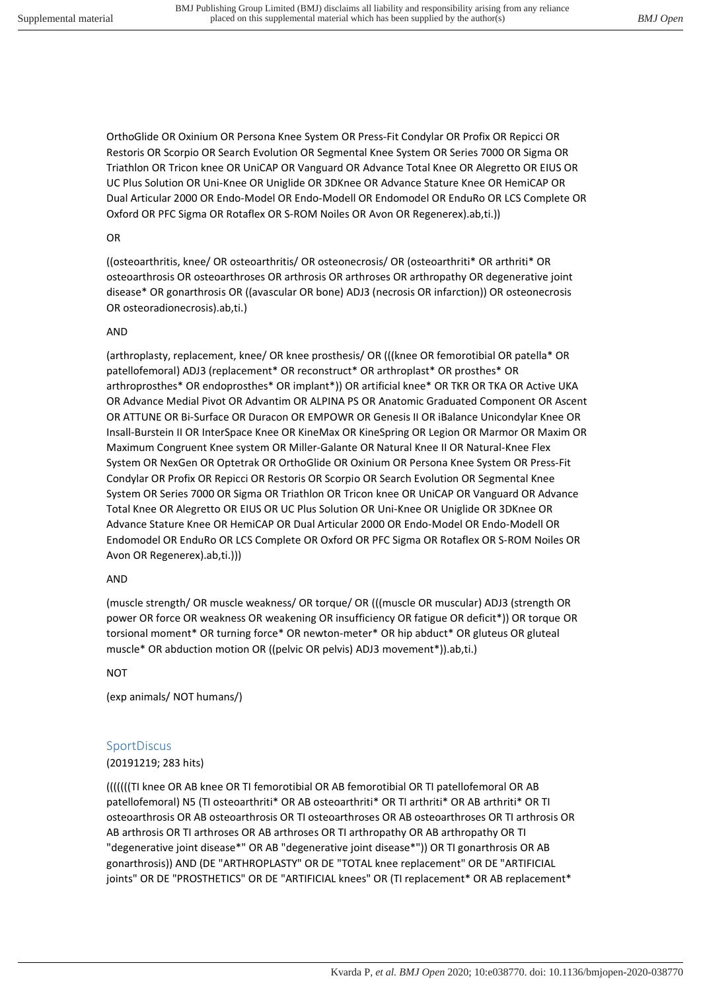OrthoGlide OR Oxinium OR Persona Knee System OR Press-Fit Condylar OR Profix OR Repicci OR Restoris OR Scorpio OR Search Evolution OR Segmental Knee System OR Series 7000 OR Sigma OR Triathlon OR Tricon knee OR UniCAP OR Vanguard OR Advance Total Knee OR Alegretto OR EIUS OR UC Plus Solution OR Uni-Knee OR Uniglide OR 3DKnee OR Advance Stature Knee OR HemiCAP OR Dual Articular 2000 OR Endo-Model OR Endo-Modell OR Endomodel OR EnduRo OR LCS Complete OR Oxford OR PFC Sigma OR Rotaflex OR S-ROM Noiles OR Avon OR Regenerex).ab,ti.))

#### OR

((osteoarthritis, knee/ OR osteoarthritis/ OR osteonecrosis/ OR (osteoarthriti\* OR arthriti\* OR osteoarthrosis OR osteoarthroses OR arthrosis OR arthroses OR arthropathy OR degenerative joint disease\* OR gonarthrosis OR ((avascular OR bone) ADJ3 (necrosis OR infarction)) OR osteonecrosis OR osteoradionecrosis).ab,ti.)

#### AND

(arthroplasty, replacement, knee/ OR knee prosthesis/ OR (((knee OR femorotibial OR patella\* OR patellofemoral) ADJ3 (replacement\* OR reconstruct\* OR arthroplast\* OR prosthes\* OR arthroprosthes\* OR endoprosthes\* OR implant\*)) OR artificial knee\* OR TKR OR TKA OR Active UKA OR Advance Medial Pivot OR Advantim OR ALPINA PS OR Anatomic Graduated Component OR Ascent OR ATTUNE OR Bi-Surface OR Duracon OR EMPOWR OR Genesis II OR iBalance Unicondylar Knee OR Insall-Burstein II OR InterSpace Knee OR KineMax OR KineSpring OR Legion OR Marmor OR Maxim OR Maximum Congruent Knee system OR Miller-Galante OR Natural Knee II OR Natural-Knee Flex System OR NexGen OR Optetrak OR OrthoGlide OR Oxinium OR Persona Knee System OR Press-Fit Condylar OR Profix OR Repicci OR Restoris OR Scorpio OR Search Evolution OR Segmental Knee System OR Series 7000 OR Sigma OR Triathlon OR Tricon knee OR UniCAP OR Vanguard OR Advance Total Knee OR Alegretto OR EIUS OR UC Plus Solution OR Uni-Knee OR Uniglide OR 3DKnee OR Advance Stature Knee OR HemiCAP OR Dual Articular 2000 OR Endo-Model OR Endo-Modell OR Endomodel OR EnduRo OR LCS Complete OR Oxford OR PFC Sigma OR Rotaflex OR S-ROM Noiles OR Avon OR Regenerex).ab,ti.)))

#### AND

(muscle strength/ OR muscle weakness/ OR torque/ OR (((muscle OR muscular) ADJ3 (strength OR power OR force OR weakness OR weakening OR insufficiency OR fatigue OR deficit\*)) OR torque OR torsional moment\* OR turning force\* OR newton-meter\* OR hip abduct\* OR gluteus OR gluteal muscle\* OR abduction motion OR ((pelvic OR pelvis) ADJ3 movement\*)).ab,ti.)

#### NOT

(exp animals/ NOT humans/)

#### **SportDiscus**

#### (20191219; 283 hits)

(((((((TI knee OR AB knee OR TI femorotibial OR AB femorotibial OR TI patellofemoral OR AB patellofemoral) N5 (TI osteoarthriti\* OR AB osteoarthriti\* OR TI arthriti\* OR AB arthriti\* OR TI osteoarthrosis OR AB osteoarthrosis OR TI osteoarthroses OR AB osteoarthroses OR TI arthrosis OR AB arthrosis OR TI arthroses OR AB arthroses OR TI arthropathy OR AB arthropathy OR TI "degenerative joint disease\*" OR AB "degenerative joint disease\*")) OR TI gonarthrosis OR AB gonarthrosis)) AND (DE "ARTHROPLASTY" OR DE "TOTAL knee replacement" OR DE "ARTIFICIAL joints" OR DE "PROSTHETICS" OR DE "ARTIFICIAL knees" OR (TI replacement\* OR AB replacement\*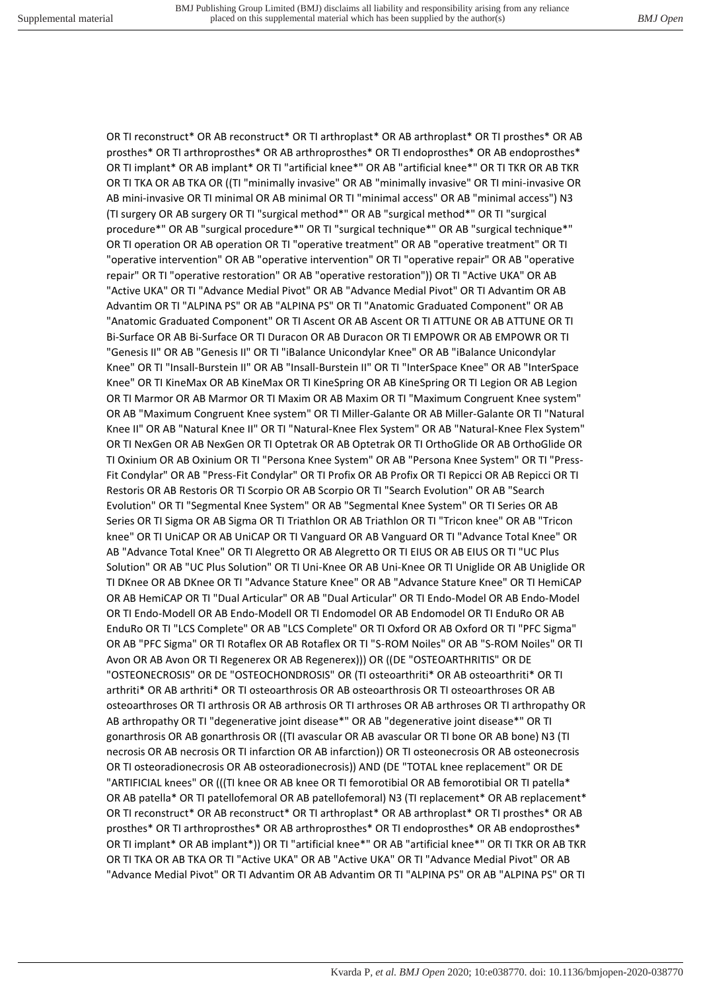OR TI reconstruct\* OR AB reconstruct\* OR TI arthroplast\* OR AB arthroplast\* OR TI prosthes\* OR AB prosthes\* OR TI arthroprosthes\* OR AB arthroprosthes\* OR TI endoprosthes\* OR AB endoprosthes\* OR TI implant\* OR AB implant\* OR TI "artificial knee\*" OR AB "artificial knee\*" OR TI TKR OR AB TKR OR TI TKA OR AB TKA OR ((TI "minimally invasive" OR AB "minimally invasive" OR TI mini-invasive OR AB mini-invasive OR TI minimal OR AB minimal OR TI "minimal access" OR AB "minimal access") N3 (TI surgery OR AB surgery OR TI "surgical method\*" OR AB "surgical method\*" OR TI "surgical procedure\*" OR AB "surgical procedure\*" OR TI "surgical technique\*" OR AB "surgical technique\*" OR TI operation OR AB operation OR TI "operative treatment" OR AB "operative treatment" OR TI "operative intervention" OR AB "operative intervention" OR TI "operative repair" OR AB "operative repair" OR TI "operative restoration" OR AB "operative restoration")) OR TI "Active UKA" OR AB "Active UKA" OR TI "Advance Medial Pivot" OR AB "Advance Medial Pivot" OR TI Advantim OR AB Advantim OR TI "ALPINA PS" OR AB "ALPINA PS" OR TI "Anatomic Graduated Component" OR AB "Anatomic Graduated Component" OR TI Ascent OR AB Ascent OR TI ATTUNE OR AB ATTUNE OR TI Bi-Surface OR AB Bi-Surface OR TI Duracon OR AB Duracon OR TI EMPOWR OR AB EMPOWR OR TI "Genesis II" OR AB "Genesis II" OR TI "iBalance Unicondylar Knee" OR AB "iBalance Unicondylar Knee" OR TI "Insall-Burstein II" OR AB "Insall-Burstein II" OR TI "InterSpace Knee" OR AB "InterSpace Knee" OR TI KineMax OR AB KineMax OR TI KineSpring OR AB KineSpring OR TI Legion OR AB Legion OR TI Marmor OR AB Marmor OR TI Maxim OR AB Maxim OR TI "Maximum Congruent Knee system" OR AB "Maximum Congruent Knee system" OR TI Miller-Galante OR AB Miller-Galante OR TI "Natural Knee II" OR AB "Natural Knee II" OR TI "Natural-Knee Flex System" OR AB "Natural-Knee Flex System" OR TI NexGen OR AB NexGen OR TI Optetrak OR AB Optetrak OR TI OrthoGlide OR AB OrthoGlide OR TI Oxinium OR AB Oxinium OR TI "Persona Knee System" OR AB "Persona Knee System" OR TI "Press-Fit Condylar" OR AB "Press-Fit Condylar" OR TI Profix OR AB Profix OR TI Repicci OR AB Repicci OR TI Restoris OR AB Restoris OR TI Scorpio OR AB Scorpio OR TI "Search Evolution" OR AB "Search Evolution" OR TI "Segmental Knee System" OR AB "Segmental Knee System" OR TI Series OR AB Series OR TI Sigma OR AB Sigma OR TI Triathlon OR AB Triathlon OR TI "Tricon knee" OR AB "Tricon knee" OR TI UniCAP OR AB UniCAP OR TI Vanguard OR AB Vanguard OR TI "Advance Total Knee" OR AB "Advance Total Knee" OR TI Alegretto OR AB Alegretto OR TI EIUS OR AB EIUS OR TI "UC Plus Solution" OR AB "UC Plus Solution" OR TI Uni-Knee OR AB Uni-Knee OR TI Uniglide OR AB Uniglide OR TI DKnee OR AB DKnee OR TI "Advance Stature Knee" OR AB "Advance Stature Knee" OR TI HemiCAP OR AB HemiCAP OR TI "Dual Articular" OR AB "Dual Articular" OR TI Endo-Model OR AB Endo-Model OR TI Endo-Modell OR AB Endo-Modell OR TI Endomodel OR AB Endomodel OR TI EnduRo OR AB EnduRo OR TI "LCS Complete" OR AB "LCS Complete" OR TI Oxford OR AB Oxford OR TI "PFC Sigma" OR AB "PFC Sigma" OR TI Rotaflex OR AB Rotaflex OR TI "S-ROM Noiles" OR AB "S-ROM Noiles" OR TI Avon OR AB Avon OR TI Regenerex OR AB Regenerex))) OR ((DE "OSTEOARTHRITIS" OR DE "OSTEONECROSIS" OR DE "OSTEOCHONDROSIS" OR (TI osteoarthriti\* OR AB osteoarthriti\* OR TI arthriti\* OR AB arthriti\* OR TI osteoarthrosis OR AB osteoarthrosis OR TI osteoarthroses OR AB osteoarthroses OR TI arthrosis OR AB arthrosis OR TI arthroses OR AB arthroses OR TI arthropathy OR AB arthropathy OR TI "degenerative joint disease\*" OR AB "degenerative joint disease\*" OR TI gonarthrosis OR AB gonarthrosis OR ((TI avascular OR AB avascular OR TI bone OR AB bone) N3 (TI necrosis OR AB necrosis OR TI infarction OR AB infarction)) OR TI osteonecrosis OR AB osteonecrosis OR TI osteoradionecrosis OR AB osteoradionecrosis)) AND (DE "TOTAL knee replacement" OR DE "ARTIFICIAL knees" OR (((TI knee OR AB knee OR TI femorotibial OR AB femorotibial OR TI patella\* OR AB patella\* OR TI patellofemoral OR AB patellofemoral) N3 (TI replacement\* OR AB replacement\* OR TI reconstruct\* OR AB reconstruct\* OR TI arthroplast\* OR AB arthroplast\* OR TI prosthes\* OR AB prosthes\* OR TI arthroprosthes\* OR AB arthroprosthes\* OR TI endoprosthes\* OR AB endoprosthes\* OR TI implant\* OR AB implant\*)) OR TI "artificial knee\*" OR AB "artificial knee\*" OR TI TKR OR AB TKR OR TI TKA OR AB TKA OR TI "Active UKA" OR AB "Active UKA" OR TI "Advance Medial Pivot" OR AB "Advance Medial Pivot" OR TI Advantim OR AB Advantim OR TI "ALPINA PS" OR AB "ALPINA PS" OR TI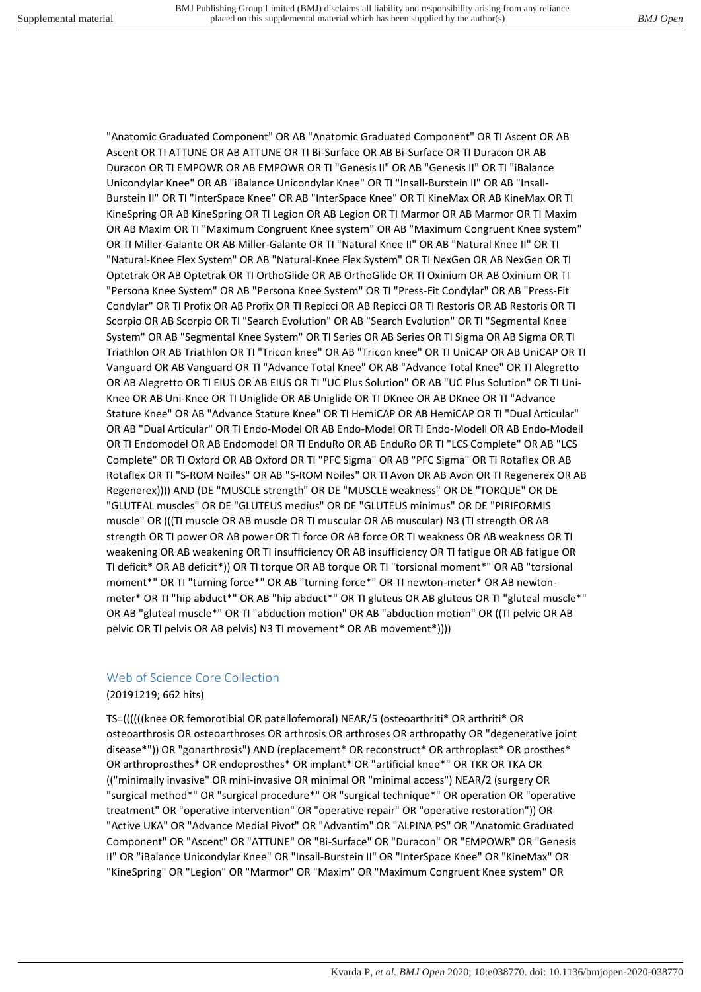"Anatomic Graduated Component" OR AB "Anatomic Graduated Component" OR TI Ascent OR AB Ascent OR TI ATTUNE OR AB ATTUNE OR TI Bi-Surface OR AB Bi-Surface OR TI Duracon OR AB Duracon OR TI EMPOWR OR AB EMPOWR OR TI "Genesis II" OR AB "Genesis II" OR TI "iBalance Unicondylar Knee" OR AB "iBalance Unicondylar Knee" OR TI "Insall-Burstein II" OR AB "Insall-Burstein II" OR TI "InterSpace Knee" OR AB "InterSpace Knee" OR TI KineMax OR AB KineMax OR TI KineSpring OR AB KineSpring OR TI Legion OR AB Legion OR TI Marmor OR AB Marmor OR TI Maxim OR AB Maxim OR TI "Maximum Congruent Knee system" OR AB "Maximum Congruent Knee system" OR TI Miller-Galante OR AB Miller-Galante OR TI "Natural Knee II" OR AB "Natural Knee II" OR TI "Natural-Knee Flex System" OR AB "Natural-Knee Flex System" OR TI NexGen OR AB NexGen OR TI Optetrak OR AB Optetrak OR TI OrthoGlide OR AB OrthoGlide OR TI Oxinium OR AB Oxinium OR TI "Persona Knee System" OR AB "Persona Knee System" OR TI "Press-Fit Condylar" OR AB "Press-Fit Condylar" OR TI Profix OR AB Profix OR TI Repicci OR AB Repicci OR TI Restoris OR AB Restoris OR TI Scorpio OR AB Scorpio OR TI "Search Evolution" OR AB "Search Evolution" OR TI "Segmental Knee System" OR AB "Segmental Knee System" OR TI Series OR AB Series OR TI Sigma OR AB Sigma OR TI Triathlon OR AB Triathlon OR TI "Tricon knee" OR AB "Tricon knee" OR TI UniCAP OR AB UniCAP OR TI Vanguard OR AB Vanguard OR TI "Advance Total Knee" OR AB "Advance Total Knee" OR TI Alegretto OR AB Alegretto OR TI EIUS OR AB EIUS OR TI "UC Plus Solution" OR AB "UC Plus Solution" OR TI Uni-Knee OR AB Uni-Knee OR TI Uniglide OR AB Uniglide OR TI DKnee OR AB DKnee OR TI "Advance Stature Knee" OR AB "Advance Stature Knee" OR TI HemiCAP OR AB HemiCAP OR TI "Dual Articular" OR AB "Dual Articular" OR TI Endo-Model OR AB Endo-Model OR TI Endo-Modell OR AB Endo-Modell OR TI Endomodel OR AB Endomodel OR TI EnduRo OR AB EnduRo OR TI "LCS Complete" OR AB "LCS Complete" OR TI Oxford OR AB Oxford OR TI "PFC Sigma" OR AB "PFC Sigma" OR TI Rotaflex OR AB Rotaflex OR TI "S-ROM Noiles" OR AB "S-ROM Noiles" OR TI Avon OR AB Avon OR TI Regenerex OR AB Regenerex)))) AND (DE "MUSCLE strength" OR DE "MUSCLE weakness" OR DE "TORQUE" OR DE "GLUTEAL muscles" OR DE "GLUTEUS medius" OR DE "GLUTEUS minimus" OR DE "PIRIFORMIS muscle" OR (((TI muscle OR AB muscle OR TI muscular OR AB muscular) N3 (TI strength OR AB strength OR TI power OR AB power OR TI force OR AB force OR TI weakness OR AB weakness OR TI weakening OR AB weakening OR TI insufficiency OR AB insufficiency OR TI fatigue OR AB fatigue OR TI deficit\* OR AB deficit\*)) OR TI torque OR AB torque OR TI "torsional moment\*" OR AB "torsional moment\*" OR TI "turning force\*" OR AB "turning force\*" OR TI newton-meter\* OR AB newtonmeter\* OR TI "hip abduct\*" OR AB "hip abduct\*" OR TI gluteus OR AB gluteus OR TI "gluteal muscle\*" OR AB "gluteal muscle\*" OR TI "abduction motion" OR AB "abduction motion" OR ((TI pelvic OR AB pelvic OR TI pelvis OR AB pelvis) N3 TI movement\* OR AB movement\*))))

# Web of Science Core Collection

#### (20191219; 662 hits)

TS=((((((knee OR femorotibial OR patellofemoral) NEAR/5 (osteoarthriti\* OR arthriti\* OR osteoarthrosis OR osteoarthroses OR arthrosis OR arthroses OR arthropathy OR "degenerative joint disease\*")) OR "gonarthrosis") AND (replacement\* OR reconstruct\* OR arthroplast\* OR prosthes\* OR arthroprosthes\* OR endoprosthes\* OR implant\* OR "artificial knee\*" OR TKR OR TKA OR (("minimally invasive" OR mini-invasive OR minimal OR "minimal access") NEAR/2 (surgery OR "surgical method\*" OR "surgical procedure\*" OR "surgical technique\*" OR operation OR "operative treatment" OR "operative intervention" OR "operative repair" OR "operative restoration")) OR "Active UKA" OR "Advance Medial Pivot" OR "Advantim" OR "ALPINA PS" OR "Anatomic Graduated Component" OR "Ascent" OR "ATTUNE" OR "Bi-Surface" OR "Duracon" OR "EMPOWR" OR "Genesis II" OR "iBalance Unicondylar Knee" OR "Insall-Burstein II" OR "InterSpace Knee" OR "KineMax" OR "KineSpring" OR "Legion" OR "Marmor" OR "Maxim" OR "Maximum Congruent Knee system" OR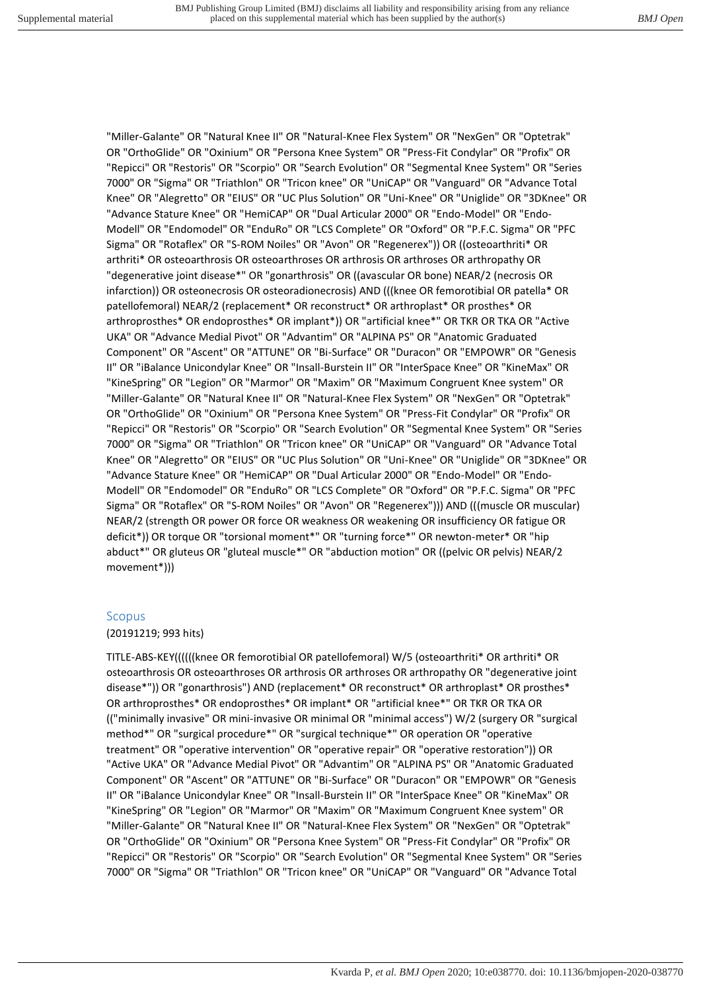"Miller-Galante" OR "Natural Knee II" OR "Natural-Knee Flex System" OR "NexGen" OR "Optetrak" OR "OrthoGlide" OR "Oxinium" OR "Persona Knee System" OR "Press-Fit Condylar" OR "Profix" OR "Repicci" OR "Restoris" OR "Scorpio" OR "Search Evolution" OR "Segmental Knee System" OR "Series 7000" OR "Sigma" OR "Triathlon" OR "Tricon knee" OR "UniCAP" OR "Vanguard" OR "Advance Total Knee" OR "Alegretto" OR "EIUS" OR "UC Plus Solution" OR "Uni-Knee" OR "Uniglide" OR "3DKnee" OR "Advance Stature Knee" OR "HemiCAP" OR "Dual Articular 2000" OR "Endo-Model" OR "Endo-Modell" OR "Endomodel" OR "EnduRo" OR "LCS Complete" OR "Oxford" OR "P.F.C. Sigma" OR "PFC Sigma" OR "Rotaflex" OR "S-ROM Noiles" OR "Avon" OR "Regenerex")) OR ((osteoarthriti\* OR arthriti\* OR osteoarthrosis OR osteoarthroses OR arthrosis OR arthroses OR arthropathy OR "degenerative joint disease\*" OR "gonarthrosis" OR ((avascular OR bone) NEAR/2 (necrosis OR infarction)) OR osteonecrosis OR osteoradionecrosis) AND (((knee OR femorotibial OR patella\* OR patellofemoral) NEAR/2 (replacement\* OR reconstruct\* OR arthroplast\* OR prosthes\* OR arthroprosthes\* OR endoprosthes\* OR implant\*)) OR "artificial knee\*" OR TKR OR TKA OR "Active UKA" OR "Advance Medial Pivot" OR "Advantim" OR "ALPINA PS" OR "Anatomic Graduated Component" OR "Ascent" OR "ATTUNE" OR "Bi-Surface" OR "Duracon" OR "EMPOWR" OR "Genesis II" OR "iBalance Unicondylar Knee" OR "Insall-Burstein II" OR "InterSpace Knee" OR "KineMax" OR "KineSpring" OR "Legion" OR "Marmor" OR "Maxim" OR "Maximum Congruent Knee system" OR "Miller-Galante" OR "Natural Knee II" OR "Natural-Knee Flex System" OR "NexGen" OR "Optetrak" OR "OrthoGlide" OR "Oxinium" OR "Persona Knee System" OR "Press-Fit Condylar" OR "Profix" OR "Repicci" OR "Restoris" OR "Scorpio" OR "Search Evolution" OR "Segmental Knee System" OR "Series 7000" OR "Sigma" OR "Triathlon" OR "Tricon knee" OR "UniCAP" OR "Vanguard" OR "Advance Total Knee" OR "Alegretto" OR "EIUS" OR "UC Plus Solution" OR "Uni-Knee" OR "Uniglide" OR "3DKnee" OR "Advance Stature Knee" OR "HemiCAP" OR "Dual Articular 2000" OR "Endo-Model" OR "Endo-Modell" OR "Endomodel" OR "EnduRo" OR "LCS Complete" OR "Oxford" OR "P.F.C. Sigma" OR "PFC Sigma" OR "Rotaflex" OR "S-ROM Noiles" OR "Avon" OR "Regenerex"))) AND (((muscle OR muscular) NEAR/2 (strength OR power OR force OR weakness OR weakening OR insufficiency OR fatigue OR deficit\*)) OR torque OR "torsional moment\*" OR "turning force\*" OR newton-meter\* OR "hip abduct\*" OR gluteus OR "gluteal muscle\*" OR "abduction motion" OR ((pelvic OR pelvis) NEAR/2 movement\*)))

# Scopus

# (20191219; 993 hits)

TITLE-ABS-KEY((((((knee OR femorotibial OR patellofemoral) W/5 (osteoarthriti\* OR arthriti\* OR osteoarthrosis OR osteoarthroses OR arthrosis OR arthroses OR arthropathy OR "degenerative joint disease\*")) OR "gonarthrosis") AND (replacement\* OR reconstruct\* OR arthroplast\* OR prosthes\* OR arthroprosthes\* OR endoprosthes\* OR implant\* OR "artificial knee\*" OR TKR OR TKA OR (("minimally invasive" OR mini-invasive OR minimal OR "minimal access") W/2 (surgery OR "surgical method\*" OR "surgical procedure\*" OR "surgical technique\*" OR operation OR "operative treatment" OR "operative intervention" OR "operative repair" OR "operative restoration")) OR "Active UKA" OR "Advance Medial Pivot" OR "Advantim" OR "ALPINA PS" OR "Anatomic Graduated Component" OR "Ascent" OR "ATTUNE" OR "Bi-Surface" OR "Duracon" OR "EMPOWR" OR "Genesis II" OR "iBalance Unicondylar Knee" OR "Insall-Burstein II" OR "InterSpace Knee" OR "KineMax" OR "KineSpring" OR "Legion" OR "Marmor" OR "Maxim" OR "Maximum Congruent Knee system" OR "Miller-Galante" OR "Natural Knee II" OR "Natural-Knee Flex System" OR "NexGen" OR "Optetrak" OR "OrthoGlide" OR "Oxinium" OR "Persona Knee System" OR "Press-Fit Condylar" OR "Profix" OR "Repicci" OR "Restoris" OR "Scorpio" OR "Search Evolution" OR "Segmental Knee System" OR "Series 7000" OR "Sigma" OR "Triathlon" OR "Tricon knee" OR "UniCAP" OR "Vanguard" OR "Advance Total